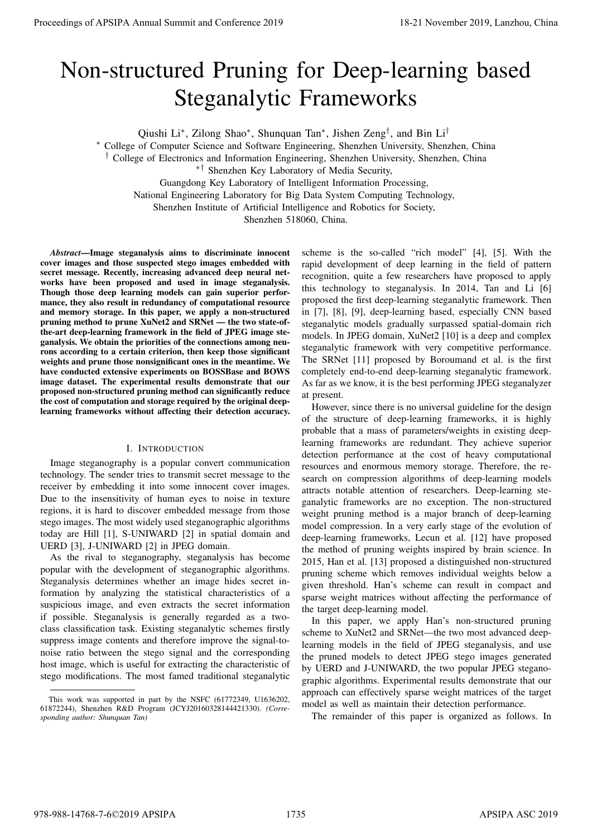# Non-structured Pruning for Deep-learning based Steganalytic Frameworks

Qiushi Li<sup>∗</sup>, Zilong Shao<sup>∗</sup>, Shunquan Tan<sup>∗</sup>, Jishen Zeng<sup>†</sup>, and Bin Li<sup>†</sup>

<sup>∗</sup> College of Computer Science and Software Engineering, Shenzhen University, Shenzhen, China

† College of Electronics and Information Engineering, Shenzhen University, Shenzhen, China

∗† Shenzhen Key Laboratory of Media Security,

Guangdong Key Laboratory of Intelligent Information Processing,

National Engineering Laboratory for Big Data System Computing Technology,

Shenzhen Institute of Artificial Intelligence and Robotics for Society,

Shenzhen 518060, China.

*Abstract*—Image steganalysis aims to discriminate innocent cover images and those suspected stego images embedded with secret message. Recently, increasing advanced deep neural networks have been proposed and used in image steganalysis. Though those deep learning models can gain superior performance, they also result in redundancy of computational resource and memory storage. In this paper, we apply a non-structured pruning method to prune XuNet2 and SRNet — the two state-ofthe-art deep-learning framework in the field of JPEG image steganalysis. We obtain the priorities of the connections among neurons according to a certain criterion, then keep those significant weights and prune those nonsignificant ones in the meantime. We have conducted extensive experiments on BOSSBase and BOWS image dataset. The experimental results demonstrate that our proposed non-structured pruning method can significantly reduce the cost of computation and storage required by the original deeplearning frameworks without affecting their detection accuracy.

# I. INTRODUCTION

Image steganography is a popular convert communication technology. The sender tries to transmit secret message to the receiver by embedding it into some innocent cover images. Due to the insensitivity of human eyes to noise in texture regions, it is hard to discover embedded message from those stego images. The most widely used steganographic algorithms today are Hill [1], S-UNIWARD [2] in spatial domain and UERD [3], J-UNIWARD [2] in JPEG domain.

As the rival to steganography, steganalysis has become popular with the development of steganographic algorithms. Steganalysis determines whether an image hides secret information by analyzing the statistical characteristics of a suspicious image, and even extracts the secret information if possible. Steganalysis is generally regarded as a twoclass classification task. Existing steganalytic schemes firstly suppress image contents and therefore improve the signal-tonoise ratio between the stego signal and the corresponding host image, which is useful for extracting the characteristic of stego modifications. The most famed traditional steganalytic scheme is the so-called "rich model" [4], [5]. With the rapid development of deep learning in the field of pattern recognition, quite a few researchers have proposed to apply this technology to steganalysis. In 2014, Tan and Li [6] proposed the first deep-learning steganalytic framework. Then in [7], [8], [9], deep-learning based, especially CNN based steganalytic models gradually surpassed spatial-domain rich models. In JPEG domain, XuNet2 [10] is a deep and complex steganalytic framework with very competitive performance. The SRNet [11] proposed by Boroumand et al. is the first completely end-to-end deep-learning steganalytic framework. As far as we know, it is the best performing JPEG steganalyzer at present.

However, since there is no universal guideline for the design of the structure of deep-learning frameworks, it is highly probable that a mass of parameters/weights in existing deeplearning frameworks are redundant. They achieve superior detection performance at the cost of heavy computational resources and enormous memory storage. Therefore, the research on compression algorithms of deep-learning models attracts notable attention of researchers. Deep-learning steganalytic frameworks are no exception. The non-structured weight pruning method is a major branch of deep-learning model compression. In a very early stage of the evolution of deep-learning frameworks, Lecun et al. [12] have proposed the method of pruning weights inspired by brain science. In 2015, Han et al. [13] proposed a distinguished non-structured pruning scheme which removes individual weights below a given threshold. Han's scheme can result in compact and sparse weight matrices without affecting the performance of the target deep-learning model. Procedure of APSIPA Annual Summit and Conference 2019<br>
November 2019 2022 Apple 112. Apple 2019 2022 Apple 2019 2022 Apple 2019 2022 Apple 2019 2022 Apple 2019 2022 Apple 2019 2022 Apple 2019 2022 Apple 2023 Apple 2023 Ap

In this paper, we apply Han's non-structured pruning scheme to XuNet2 and SRNet—the two most advanced deeplearning models in the field of JPEG steganalysis, and use the pruned models to detect JPEG stego images generated by UERD and J-UNIWARD, the two popular JPEG steganographic algorithms. Experimental results demonstrate that our approach can effectively sparse weight matrices of the target model as well as maintain their detection performance.

The remainder of this paper is organized as follows. In

This work was supported in part by the NSFC (61772349, U1636202, 61872244), Shenzhen R&D Program (JCYJ20160328144421330). *(Corresponding author: Shunquan Tan)*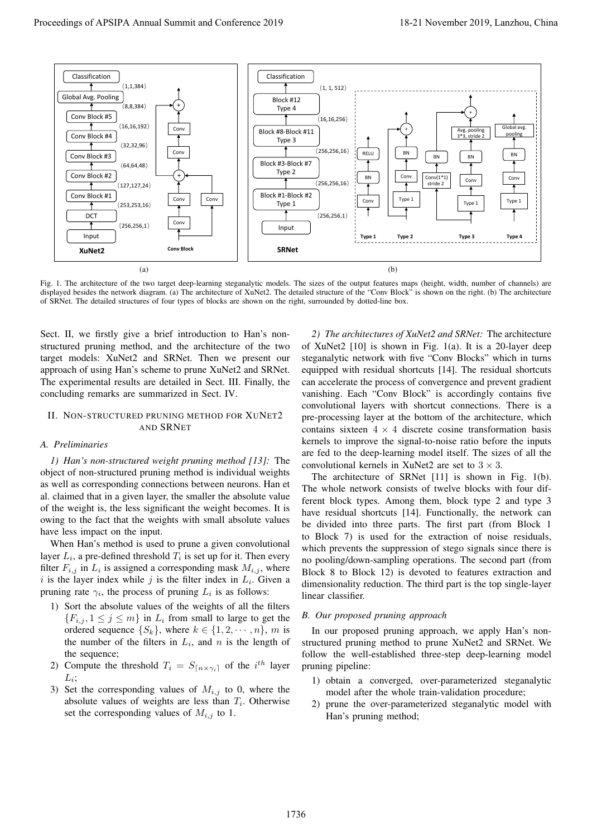

Fig. 1. The architecture of the two target deep-learning steganalytic models. The sizes of the output features maps (height, width, number of channels) are displayed besides the network diagram. (a) The architecture of XuNet2. The detailed structure of the "Conv Block" is shown on the right. (b) The architecture of SRNet. The detailed structures of four types of blocks are shown on the right, surrounded by dotted-line box.

Sect. II, we firstly give a brief introduction to Han's nonstructured pruning method, and the architecture of the two target models: XuNet2 and SRNet. Then we present our approach of using Han's scheme to prune XuNet2 and SRNet. The experimental results are detailed in Sect. III. Finally, the concluding remarks are summarized in Sect. IV.

### II. NON-STRUCTURED PRUNING METHOD FOR XUNET2 AND SRNET

# *A. Preliminaries*

*1) Han's non-structured weight pruning method [13]:* The object of non-structured pruning method is individual weights as well as corresponding connections between neurons. Han et al. claimed that in a given layer, the smaller the absolute value of the weight is, the less significant the weight becomes. It is owing to the fact that the weights with small absolute values have less impact on the input.

When Han's method is used to prune a given convolutional layer  $L_i$ , a pre-defined threshold  $T_i$  is set up for it. Then every filter  $F_{i,j}$  in  $L_i$  is assigned a corresponding mask  $M_{i,j}$ , where i is the layer index while j is the filter index in  $L_i$ . Given a pruning rate  $\gamma_i$ , the process of pruning  $L_i$  is as follows:

- 1) Sort the absolute values of the weights of all the filters  ${F_{i,j}, 1 \leq j \leq m}$  in  $L_i$  from small to large to get the ordered sequence  $\{S_k\}$ , where  $k \in \{1, 2, \dots, n\}$ , m is the number of the filters in  $L_i$ , and n is the length of the sequence;
- 2) Compute the threshold  $T_i = S_{\lceil n \times \gamma_i \rceil}$  of the  $i^{th}$  layer  $L_i;$
- 3) Set the corresponding values of  $M_{i,j}$  to 0, where the absolute values of weights are less than  $T_i$ . Otherwise set the corresponding values of  $M_{i,j}$  to 1.

*2) The architectures of XuNet2 and SRNet:* The architecture of XuNet2 [10] is shown in Fig. 1(a). It is a 20-layer deep steganalytic network with five "Conv Blocks" which in turns equipped with residual shortcuts [14]. The residual shortcuts can accelerate the process of convergence and prevent gradient vanishing. Each "Conv Block" is accordingly contains five convolutional layers with shortcut connections. There is a pre-processing layer at the bottom of the architecture, which contains sixteen  $4 \times 4$  discrete cosine transformation basis kernels to improve the signal-to-noise ratio before the inputs are fed to the deep-learning model itself. The sizes of all the convolutional kernels in XuNet2 are set to  $3 \times 3$ .

The architecture of SRNet [11] is shown in Fig. 1(b). The whole network consists of twelve blocks with four different block types. Among them, block type 2 and type 3 have residual shortcuts [14]. Functionally, the network can be divided into three parts. The first part (from Block 1 to Block 7) is used for the extraction of noise residuals, which prevents the suppression of stego signals since there is no pooling/down-sampling operations. The second part (from Block 8 to Block 12) is devoted to features extraction and dimensionality reduction. The third part is the top single-layer linear classifier.

## *B. Our proposed pruning approach*

In our proposed pruning approach, we apply Han's nonstructured pruning method to prune XuNet2 and SRNet. We follow the well-established three-step deep-learning model pruning pipeline:

- 1) obtain a converged, over-parameterized steganalytic model after the whole train-validation procedure;
- 2) prune the over-parameterized steganalytic model with Han's pruning method;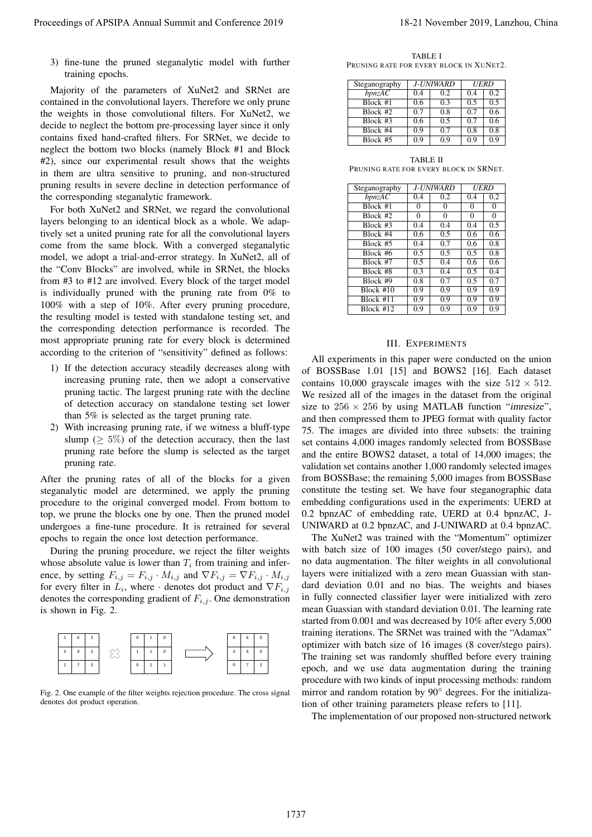3) fine-tune the pruned steganalytic model with further training epochs.

Majority of the parameters of XuNet2 and SRNet are contained in the convolutional layers. Therefore we only prune the weights in those convolutional filters. For XuNet2, we decide to neglect the bottom pre-processing layer since it only contains fixed hand-crafted filters. For SRNet, we decide to neglect the bottom two blocks (namely Block #1 and Block #2), since our experimental result shows that the weights in them are ultra sensitive to pruning, and non-structured pruning results in severe decline in detection performance of the corresponding steganalytic framework.

For both XuNet2 and SRNet, we regard the convolutional layers belonging to an identical block as a whole. We adaptively set a united pruning rate for all the convolutional layers come from the same block. With a converged steganalytic model, we adopt a trial-and-error strategy. In XuNet2, all of the "Conv Blocks" are involved, while in SRNet, the blocks from #3 to #12 are involved. Every block of the target model is individually pruned with the pruning rate from 0% to 100% with a step of 10%. After every pruning procedure, the resulting model is tested with standalone testing set, and the corresponding detection performance is recorded. The most appropriate pruning rate for every block is determined according to the criterion of "sensitivity" defined as follows:

- 1) If the detection accuracy steadily decreases along with increasing pruning rate, then we adopt a conservative pruning tactic. The largest pruning rate with the decline of detection accuracy on standalone testing set lower than 5% is selected as the target pruning rate.
- 2) With increasing pruning rate, if we witness a bluff-type slump ( $\geq 5\%$ ) of the detection accuracy, then the last pruning rate before the slump is selected as the target pruning rate.

After the pruning rates of all of the blocks for a given steganalytic model are determined, we apply the pruning procedure to the original converged model. From bottom to top, we prune the blocks one by one. Then the pruned model undergoes a fine-tune procedure. It is retrained for several epochs to regain the once lost detection performance.

During the pruning procedure, we reject the filter weights whose absolute value is lower than  $T_i$  from training and inference, by setting  $F_{i,j} = F_{i,j} \cdot M_{i,j}$  and  $\nabla F_{i,j} = \nabla F_{i,j} \cdot M_{i,j}$ for every filter in  $L_i$ , where  $\cdot$  denotes dot product and  $\nabla F_{i,j}$ denotes the corresponding gradient of  $F_{i,j}$ . One demonstration is shown in Fig. 2.



Fig. 2. One example of the filter weights rejection procedure. The cross signal denotes dot product operation.

TABLE I PRUNING RATE FOR EVERY BLOCK IN XUNET2.

| Steganography |    | J-UNIWARD      | <b>UERD</b> |     |
|---------------|----|----------------|-------------|-----|
| bpnzAC        | 04 | 0.2            | 04          | 02  |
| $Block$ #1    | 06 | 0 <sup>3</sup> | 0.5         | 0.5 |
| $Block$ #2    | 07 | 0.8            | 0.7         | 0.6 |
| Block #3      | 06 | 0.5            | 0.7         | 0.6 |
| Block #4      | 09 | 0.7            | 0.8         | 0.8 |
| $Block$ #5    | 09 | 0 ዓ            | 09          | 09  |

TABLE II PRUNING RATE FOR EVERY BLOCK IN SRNET.

| Steganography | <i>J-UNIWARD</i> |     | <b>UERD</b> |          |
|---------------|------------------|-----|-------------|----------|
| bpnzAC        | 0.4              | 0.2 | 0.4         | 0.2      |
| $Block$ #1    | 0                | 0   | $\Omega$    | 0        |
| $Block$ #2    | $\Omega$         | 0   | $\theta$    | $\Omega$ |
| $Block$ #3    | 0.4              | 0.4 | 0.4         | 0.5      |
| Block #4      | 0.6              | 0.5 | 0.6         | 0.6      |
| Block #5      | 0.4              | 0.7 | 0.6         | 0.8      |
| Block #6      | 0.5              | 0.5 | 0.5         | 0.8      |
| Block #7      | 0.5              | 0.4 | 0.6         | 0.6      |
| Block #8      | 0.3              | 0.4 | 0.5         | 0.4      |
| Block #9      | 0.8              | 0.7 | 0.5         | 0.7      |
| $Block$ #10   | 0.9              | 0.9 | 0.9         | 0.9      |
| Block #11     | 0.9              | 0.9 | 0.9         | 0.9      |
| Block #12     | 0.9              | 0.9 | 0.9         | 0.9      |

### III. EXPERIMENTS

All experiments in this paper were conducted on the union of BOSSBase 1.01 [15] and BOWS2 [16]. Each dataset contains 10,000 grayscale images with the size  $512 \times 512$ . We resized all of the images in the dataset from the original size to  $256 \times 256$  by using MATLAB function "imresize", and then compressed them to JPEG format with quality factor 75. The images are divided into three subsets: the training set contains 4,000 images randomly selected from BOSSBase and the entire BOWS2 dataset, a total of 14,000 images; the validation set contains another 1,000 randomly selected images from BOSSBase; the remaining 5,000 images from BOSSBase constitute the testing set. We have four steganographic data embedding configurations used in the experiments: UERD at 0.2 bpnzAC of embedding rate, UERD at 0.4 bpnzAC, J-UNIWARD at 0.2 bpnzAC, and J-UNIWARD at 0.4 bpnzAC.

The XuNet2 was trained with the "Momentum" optimizer with batch size of 100 images (50 cover/stego pairs), and no data augmentation. The filter weights in all convolutional layers were initialized with a zero mean Guassian with standard deviation 0.01 and no bias. The weights and biases in fully connected classifier layer were initialized with zero mean Guassian with standard deviation 0.01. The learning rate started from 0.001 and was decreased by 10% after every 5,000 training iterations. The SRNet was trained with the "Adamax" optimizer with batch size of 16 images (8 cover/stego pairs). The training set was randomly shuffled before every training epoch, and we use data augmentation during the training procedure with two kinds of input processing methods: random mirror and random rotation by 90◦ degrees. For the initialization of other training parameters please refers to [11]. Proceedings of APSIPA Annual Summit at China 2019<br>
The summit and proceeding conference 2019 18-21 November 2019 18-21 November 2019 2012 November 2019 2012 November 2019 2012 November 2019 2012 November 2019 2012 Novembe

The implementation of our proposed non-structured network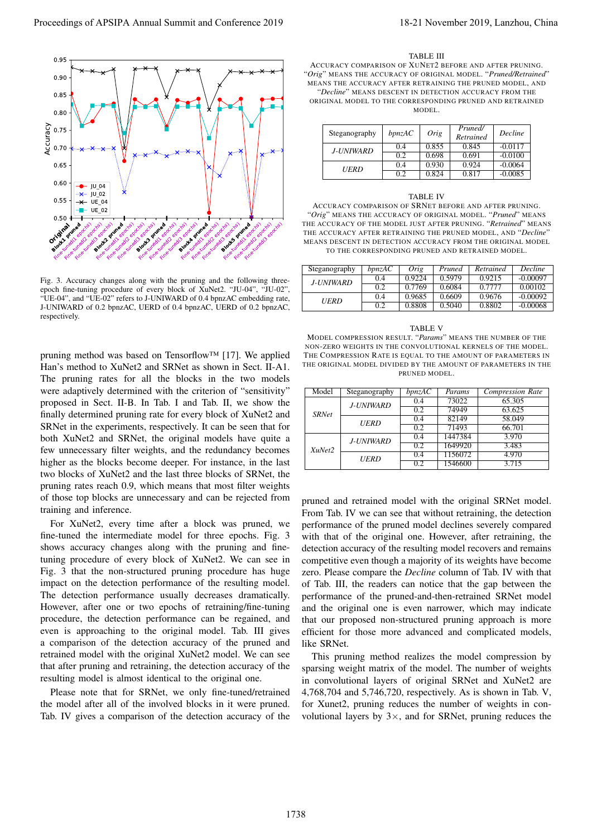

Fig. 3. Accuracy changes along with the pruning and the following threeepoch fine-tuning procedure of every block of XuNet2. "JU-04", "JU-02", "UE-04", and "UE-02" refers to J-UNIWARD of 0.4 bpnzAC embedding rate, J-UNIWARD of 0.2 bpnzAC, UERD of 0.4 bpnzAC, UERD of 0.2 bpnzAC, respectively.

pruning method was based on Tensorflow™ [17]. We applied Han's method to XuNet2 and SRNet as shown in Sect. II-A1. The pruning rates for all the blocks in the two models were adaptively determined with the criterion of "sensitivity" proposed in Sect. II-B. In Tab. I and Tab. II, we show the finally determined pruning rate for every block of XuNet2 and SRNet in the experiments, respectively. It can be seen that for both XuNet2 and SRNet, the original models have quite a few unnecessary filter weights, and the redundancy becomes higher as the blocks become deeper. For instance, in the last two blocks of XuNet2 and the last three blocks of SRNet, the pruning rates reach 0.9, which means that most filter weights of those top blocks are unnecessary and can be rejected from training and inference.

For XuNet2, every time after a block was pruned, we fine-tuned the intermediate model for three epochs. Fig. 3 shows accuracy changes along with the pruning and finetuning procedure of every block of XuNet2. We can see in Fig. 3 that the non-structured pruning procedure has huge impact on the detection performance of the resulting model. The detection performance usually decreases dramatically. However, after one or two epochs of retraining/fine-tuning procedure, the detection performance can be regained, and even is approaching to the original model. Tab. III gives a comparison of the detection accuracy of the pruned and retrained model with the original XuNet2 model. We can see that after pruning and retraining, the detection accuracy of the resulting model is almost identical to the original one.

Please note that for SRNet, we only fine-tuned/retrained the model after all of the involved blocks in it were pruned. Tab. IV gives a comparison of the detection accuracy of the

#### TABLE III

ACCURACY COMPARISON OF XUNET2 BEFORE AND AFTER PRUNING. "*Orig*" MEANS THE ACCURACY OF ORIGINAL MODEL. "*Pruned/Retrained*" MEANS THE ACCURACY AFTER RETRAINING THE PRUNED MODEL, AND "*Decline*" MEANS DESCENT IN DETECTION ACCURACY FROM THE ORIGINAL MODEL TO THE CORRESPONDING PRUNED AND RETRAINED

| Steganography    | bpnzAC | Orig  | Pruned/<br>Retrained | Decline   |
|------------------|--------|-------|----------------------|-----------|
| <b>J-UNIWARD</b> | 04     | 0.855 | 0.845                | $-0.0117$ |
|                  | 02     | 0.698 | 0.691                | $-0.0100$ |
| UERD             | 0.4    | 0.930 | 0.924                | $-0.0064$ |
|                  | 02     | 0.824 | 0.817                | -0.0085   |

#### TABLE IV

ACCURACY COMPARISON OF SRNET BEFORE AND AFTER PRUNING. "*Orig*" MEANS THE ACCURACY OF ORIGINAL MODEL. "*Pruned*" MEANS THE ACCURACY OF THE MODEL JUST AFTER PRUNING. "*Retrained*" MEANS THE ACCURACY AFTER RETRAINING THE PRUNED MODEL, AND "*Decline*" MEANS DESCENT IN DETECTION ACCURACY FROM THE ORIGINAL MODEL TO THE CORRESPONDING PRUNED AND RETRAINED MODEL.

| Steganography | bnzAC | Orig   | Pruned | Retrained | <b>Decline</b> |
|---------------|-------|--------|--------|-----------|----------------|
| J-UNIWARD.    | 0.4   | 0.9224 | 0.5979 | 0.9215    | $-0.00097$     |
|               | 0.2   | 0.7769 | 0.6084 | 0.7777    | 0.00102        |
| UERD          | 0.4   | 0.9685 | 0.6609 | 0.9676    | $-0.00092$     |
|               | 0.2   | 0.8808 | 0.5040 | 0.8802    | $-0.00068$     |

TABLE V MODEL COMPRESSION RESULT. "*Params*" MEANS THE NUMBER OF THE NON-ZERO WEIGHTS IN THE CONVOLUTIONAL KERNELS OF THE MODEL. THE COMPRESSION RATE IS EQUAL TO THE AMOUNT OF PARAMETERS IN THE ORIGINAL MODEL DIVIDED BY THE AMOUNT OF PARAMETERS IN THE PRUNED MODEL.

| Model        | Steganography    | bpnzAC | Params  | <b>Compression Rate</b> |
|--------------|------------------|--------|---------|-------------------------|
| <b>SRNet</b> | J-UNIWARD        | 0.4    | 73022   | 65.305                  |
|              |                  | 0.2    | 74949   | 63.625                  |
|              | <b>UERD</b>      | 0.4    | 82149   | 58.049                  |
|              |                  | 0.2    | 71493   | 66.701                  |
| XuNet2       | <b>J-UNIWARD</b> | 0.4    | 1447384 | 3.970                   |
|              |                  | 0.2    | 1649920 | 3.483                   |
|              | <b>UERD</b>      | 0.4    | 1156072 | 4.970                   |
|              |                  | 0.2    | 1546600 | 3.715                   |

pruned and retrained model with the original SRNet model. From Tab. IV we can see that without retraining, the detection performance of the pruned model declines severely compared with that of the original one. However, after retraining, the detection accuracy of the resulting model recovers and remains competitive even though a majority of its weights have become zero. Please compare the *Decline* column of Tab. IV with that of Tab. III, the readers can notice that the gap between the performance of the pruned-and-then-retrained SRNet model and the original one is even narrower, which may indicate that our proposed non-structured pruning approach is more efficient for those more advanced and complicated models, like SRNet.

This pruning method realizes the model compression by sparsing weight matrix of the model. The number of weights in convolutional layers of original SRNet and XuNet2 are 4,768,704 and 5,746,720, respectively. As is shown in Tab. V, for Xunet2, pruning reduces the number of weights in convolutional layers by  $3\times$ , and for SRNet, pruning reduces the